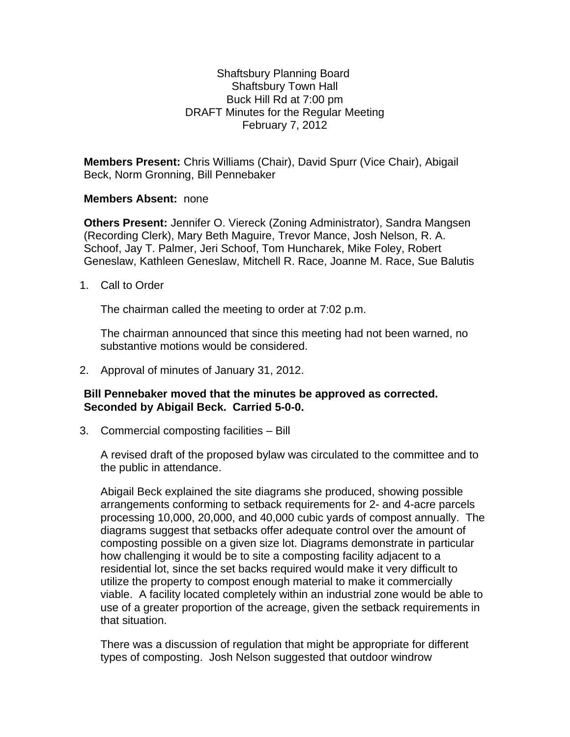## Shaftsbury Planning Board Shaftsbury Town Hall Buck Hill Rd at 7:00 pm DRAFT Minutes for the Regular Meeting February 7, 2012

**Members Present:** Chris Williams (Chair), David Spurr (Vice Chair), Abigail Beck, Norm Gronning, Bill Pennebaker

## **Members Absent:** none

**Others Present:** Jennifer O. Viereck (Zoning Administrator), Sandra Mangsen (Recording Clerk), Mary Beth Maguire, Trevor Mance, Josh Nelson, R. A. Schoof, Jay T. Palmer, Jeri Schoof, Tom Huncharek, Mike Foley, Robert Geneslaw, Kathleen Geneslaw, Mitchell R. Race, Joanne M. Race, Sue Balutis

1. Call to Order

The chairman called the meeting to order at 7:02 p.m.

The chairman announced that since this meeting had not been warned, no substantive motions would be considered.

2. Approval of minutes of January 31, 2012.

## **Bill Pennebaker moved that the minutes be approved as corrected. Seconded by Abigail Beck. Carried 5-0-0.**

3. Commercial composting facilities – Bill

A revised draft of the proposed bylaw was circulated to the committee and to the public in attendance.

Abigail Beck explained the site diagrams she produced, showing possible arrangements conforming to setback requirements for 2- and 4-acre parcels processing 10,000, 20,000, and 40,000 cubic yards of compost annually. The diagrams suggest that setbacks offer adequate control over the amount of composting possible on a given size lot. Diagrams demonstrate in particular how challenging it would be to site a composting facility adjacent to a residential lot, since the set backs required would make it very difficult to utilize the property to compost enough material to make it commercially viable. A facility located completely within an industrial zone would be able to use of a greater proportion of the acreage, given the setback requirements in that situation.

There was a discussion of regulation that might be appropriate for different types of composting. Josh Nelson suggested that outdoor windrow